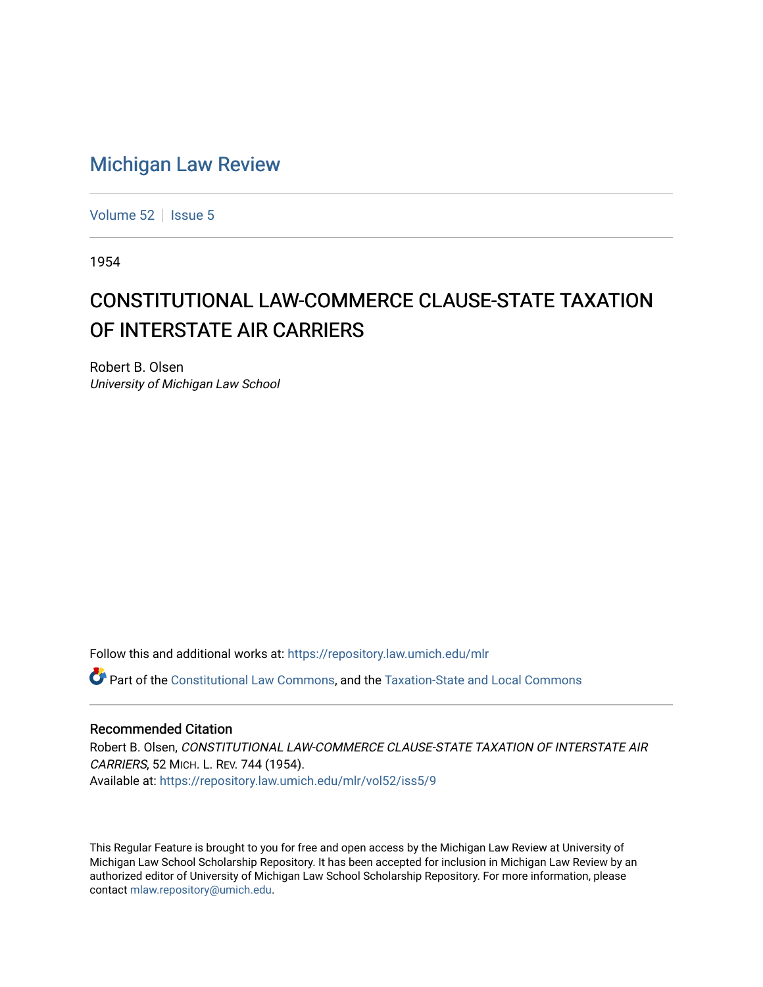## [Michigan Law Review](https://repository.law.umich.edu/mlr)

[Volume 52](https://repository.law.umich.edu/mlr/vol52) | [Issue 5](https://repository.law.umich.edu/mlr/vol52/iss5)

1954

## CONSTITUTIONAL LAW-COMMERCE CLAUSE-STATE TAXATION OF INTERSTATE AIR CARRIERS

Robert B. Olsen University of Michigan Law School

Follow this and additional works at: [https://repository.law.umich.edu/mlr](https://repository.law.umich.edu/mlr?utm_source=repository.law.umich.edu%2Fmlr%2Fvol52%2Fiss5%2F9&utm_medium=PDF&utm_campaign=PDFCoverPages) 

Part of the [Constitutional Law Commons,](http://network.bepress.com/hgg/discipline/589?utm_source=repository.law.umich.edu%2Fmlr%2Fvol52%2Fiss5%2F9&utm_medium=PDF&utm_campaign=PDFCoverPages) and the [Taxation-State and Local Commons](http://network.bepress.com/hgg/discipline/882?utm_source=repository.law.umich.edu%2Fmlr%2Fvol52%2Fiss5%2F9&utm_medium=PDF&utm_campaign=PDFCoverPages)

## Recommended Citation

Robert B. Olsen, CONSTITUTIONAL LAW-COMMERCE CLAUSE-STATE TAXATION OF INTERSTATE AIR CARRIERS, 52 MICH. L. REV. 744 (1954). Available at: [https://repository.law.umich.edu/mlr/vol52/iss5/9](https://repository.law.umich.edu/mlr/vol52/iss5/9?utm_source=repository.law.umich.edu%2Fmlr%2Fvol52%2Fiss5%2F9&utm_medium=PDF&utm_campaign=PDFCoverPages)

This Regular Feature is brought to you for free and open access by the Michigan Law Review at University of Michigan Law School Scholarship Repository. It has been accepted for inclusion in Michigan Law Review by an authorized editor of University of Michigan Law School Scholarship Repository. For more information, please contact [mlaw.repository@umich.edu](mailto:mlaw.repository@umich.edu).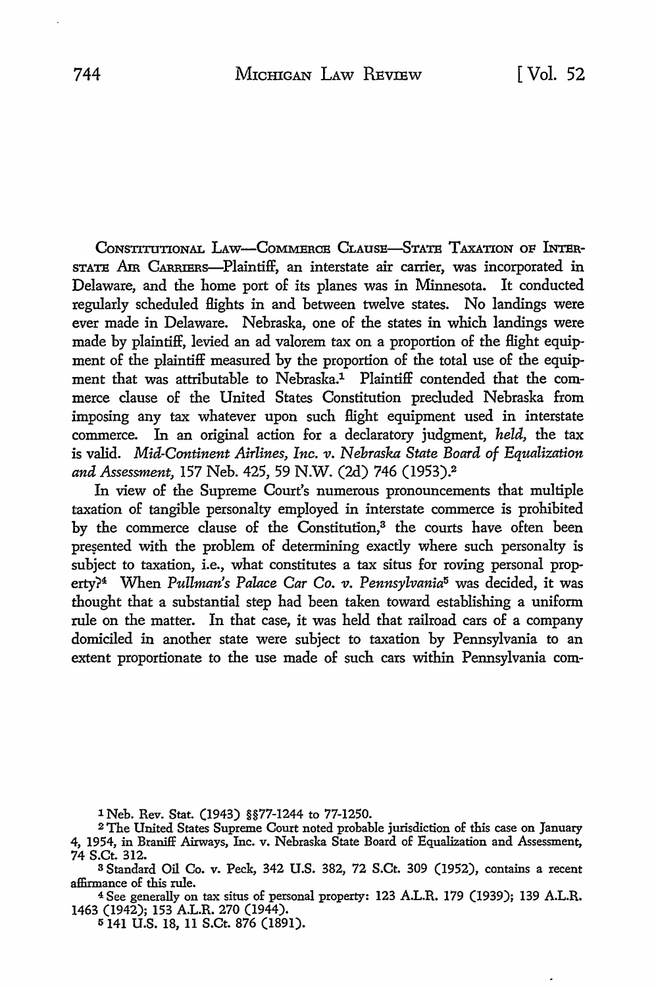CoNSTITUTIONAL LAw-CoMMERCB CLAUSE-STATB TAXATION oF INTBR-STATB Am CARRIERs-Plaintiff, an interstate air carrier, was incorporated in Delaware, and the home port of its planes was in Minnesota. It conducted regularly scheduled flights in and between twelve states. No landings were ever made in Delaware. Nebraska, one of the states in which landings were made by plaintiff, levied an ad valorem tax on a proportion of the Hight equipment of the plaintiff measured by the proportion of the total use of the equipment that was attributable to Nebraska.<sup>1</sup> Plaintiff contended that the commerce clause of the United States Constitution precluded Nebraska from imposing any tax whatever upon such Hight equipment used in interstate commerce. In an original action for a declaratory judgment, *held,* the tax is valid. *Mid-Continent Airlines, Inc. v. Nebraska State Board of Equalization and Assessment,* 157 Neb. 425, 59 N.W. (2d) 746 (1953).<sup>2</sup>

In view of the Supreme Court's numerous pronouncements that multiple taxation of tangible personalty employed in interstate commerce is prohibited by the commerce clause of the Constitution,<sup>3</sup> the courts have often been presented with the problem of determining exactly where such personalty is subject to taxation, i.e., what constitutes a tax situs for roving personal property?4 When *Pullman's Palace Car Co. v. Pennsylvania*5 was decided, it was thought that a substantial step had been taken toward establishing a uniform rule on the matter. In that case, it was held that railroad cars of a company domiciled in another state were subject to taxation by Pennsylvania to an extent proportionate to the use made of such cars within Pennsylvania com-

1 Neb. Rev. Stat. (1943) §§77-1244 to 77-1250.

<sup>4</sup>See generally on tax situs of personal property: 123 A.L.R. 179 (1939); 139 A.L.R. 1463 (1942); 153 A.L.R. 270 (1944).

5141 U.S. 18, 11 S.Ct. 876 (1891).

<sup>2</sup>The United States Supreme Court noted probable jurisdiction of this case on January 4, 1954, in Braniff Airways, Inc. v. Nebraska State Board of Equalization and Assessment, 74 S.Ct. 312.

<sup>3</sup>Standard Oil Co. v. Peck, 342 U.S. 382, 72 S.Ct. 309 (1952), contains a recent affirmance of this rule.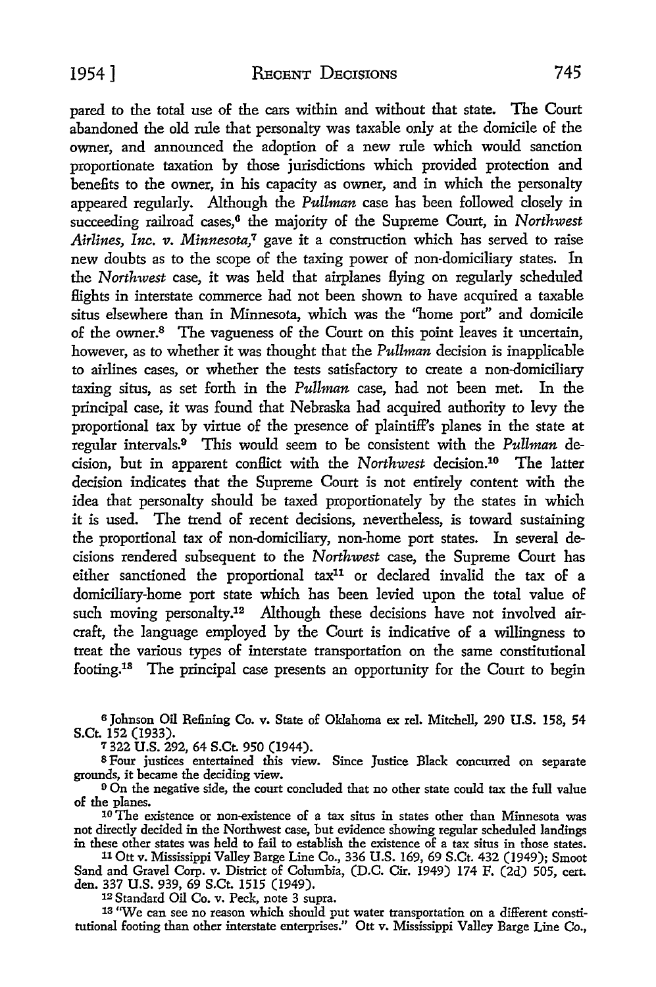pared to the total use of the cars within and without that state. The Court abandoned the old rule that personalty was taxable only at the domicile of the owner, and announced the adoption of a new rule which would sanction proportionate taxation by those jurisdictions which provided protection and benefits to the owner, in his capacity as owner, and in which the personalty appeared regularly. Although the *Pullman* case has been followed closely in succeeding railroad cases,<sup>6</sup> the majority of the Supreme Court, in *Northwest Airlines, Inc. v. Minnesota*,<sup>7</sup> gave it a construction which has served to raise new doubts as to the scope of the taxing power of non-domiciliary states. In the *Northwest* case, it was held that airplanes flying on regularly scheduled £lights in interstate commerce had not been shown to have acquired a taxable situs elsewhere than in Minnesota, which was the "home port" and domicile of the owner.8 The vagueness of the Court on this point leaves it uncertain, however, as to whether it was thought that the *Pullman* decision is inapplicable to airlines cases, or whether the tests satisfactory to create a non-domiciliary taxing situs, as set forth in the *Pullman* case, had not been met. In the principal case, it was found that Nebraska had acquired authority to levy the proportional tax by virtue of the presence of plaintiff's planes in the state at regular intervals.9 This would seem to be consistent with the *Pullman* decision, but in apparent conflict with the *Northwest* decision.10 The latter decision indicates that the Supreme Court is not entirely content with the idea that personalty should be taxed proportionately by the states in which it is used. The trend of recent decisions, nevertheless, is toward sustaining the proportional tax of non-domiciliary, non-home port states. In several decisions rendered subsequent to the *Northwest* case, the Supreme Court has either sanctioned the proportional tax11 or declared invalid the tax of a domiciliary-home port state which has been levied upon the total value of such moving personalty.<sup>12</sup> Although these decisions have not involved aircraft, the language employed by the Court is indicative of a willingness to treat the various types of interstate transportation on the same constitutional footing.18 The principal case presents an opportunity for the Court to begin

<sup>6</sup> Johnson Oil Refining Co. v. State of Oklahoma ex rel. Mitchell, 290 U.S. 158, 54 S.Ct. 152 (1933).

7 322 U.S. 292, 64 S.Ct. 950 (1944).

8 Four justices entertained this view. Since Justice Black concurred on separate grounds, it became the deciding view.

<sup>9</sup> On the negative side, the court concluded that no other state could tax the full value of the planes.

<sup>10</sup>The existence or non-existence of a tax situs in states other than Minnesota was not directly decided in the Northwest case, but evidence showing regular scheduled landings in these other states was held to fail to establish the existence of a tax situs in those states.

11 Ott v. Mississippi Valley Barge Line Co., 336 U.S. 169, 69 S.Ct. 432 (1949); Smoot Sand and Gravel Corp. v. District of Columbia, (D.C. Cir. 1949) 174 F. (2d) 505, cert. den. 337 U.S. 939, 69 S.Ct. 1515 (1949).

12 Standard Oil Co. v. Peck, note 3 supra.

13 "We can see no reason which should put water transportation on a different constitutional footing than other interstate enterprises." Ott v. Mississippi Valley Barge Line Co.,